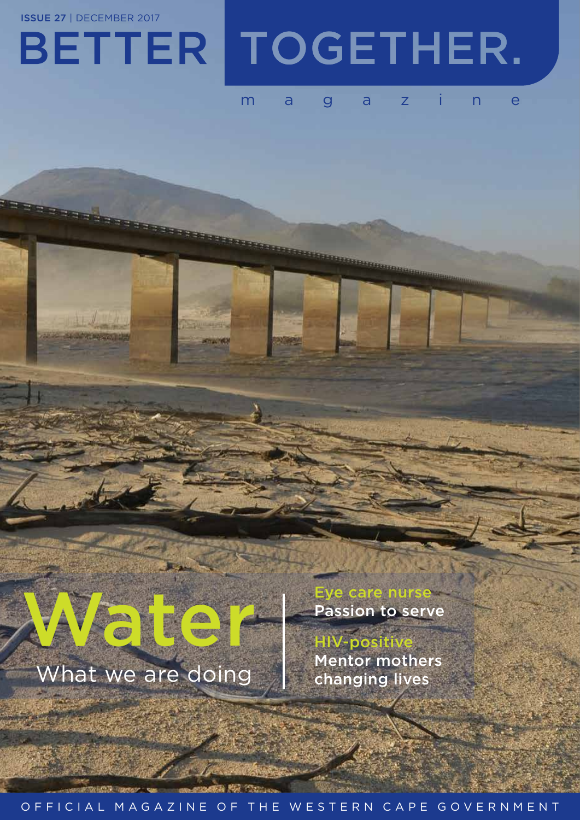ISSUE 27 | DECEMBER 2017

## BETTER TOGETHER.

## magazine

## What we are doing

**Eye care nurse<br>Passion to serve** Eye care nurse<br>Passion to serve<br>HIV-positive<br>Mentor mothers

**HIV-positiv** Mentor mothers changing lives

## OFFICIAL MAGAZINE OF THE WESTERN CAPE GOVERNMENT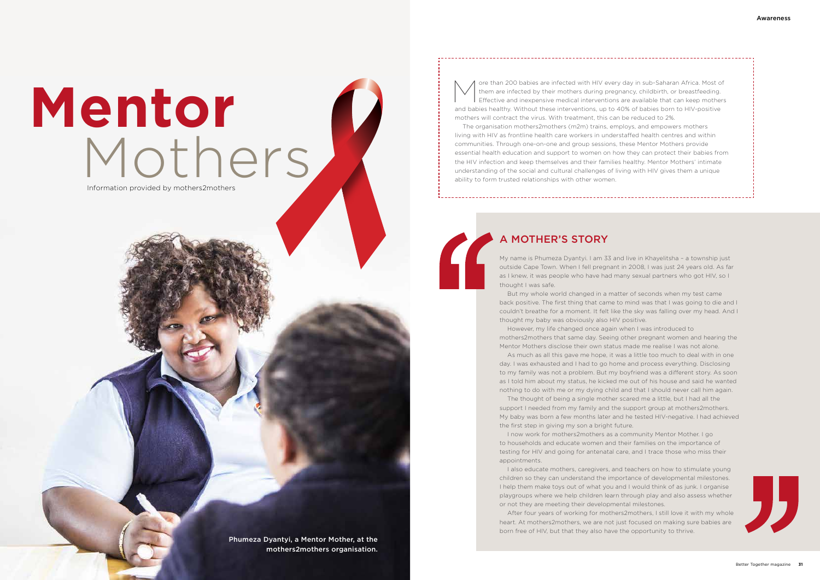## A MOTHER'S STORY

My name is Phumeza Dyantyi. I am 33 and live in Khayelitsha – a township just outside Cape Town. When I fell pregnant in 2008, I was just 24 years old. As far as I knew, it was people who have had many sexual partners who got HIV, so I thought I was safe.

But my whole world changed in a matter of seconds when my test came back positive. The first thing that came to mind was that I was going to die and I couldn't breathe for a moment. It felt like the sky was falling over my head. And I thought my baby was obviously also HIV positive. However, my life changed once again when I was introduced to

mothers2mothers that same day. Seeing other pregnant women and hearing the Mentor Mothers disclose their own status made me realise I was not alone. As much as all this gave me hope, it was a little too much to deal with in one day. I was exhausted and I had to go home and process everything. Disclosing to my family was not a problem. But my boyfriend was a different story. As soon as I told him about my status, he kicked me out of his house and said he wanted nothing to do with me or my dying child and that I should never call him again. The thought of being a single mother scared me a little, but I had all the support I needed from my family and the support group at mothers2mothers. My baby was born a few months later and he tested HIV-negative. I had achieved the first step in giving my son a bright future.

# **Mentor** Mothers<br>Information provided by mothers2mothers

ore than 200 babies are infected with HIV every day in sub-Saharan Africa. Most of them are infected by their mothers during pregnancy, childbirth, or breastfeeding. Effective and inexpensive medical interventions are available that can keep mothers and babies healthy. Without these interventions, up to 40% of babies born to HIV-positive mothers will contract the virus. With treatment, this can be reduced to 2%.

I now work for mothers2mothers as a community Mentor Mother. I go to households and educate women and their families on the importance of testing for HIV and going for antenatal care, and I trace those who miss their appointments.

I also educate mothers, caregivers, and teachers on how to stimulate young children so they can understand the importance of developmental milestones. I help them make toys out of what you and I would think of as junk. I organise playgroups where we help children learn through play and also assess whether or not they are meeting their developmental milestones.

After four years of working for mothers2mothers, I still love it with my whole heart. At mothers2mothers, we are not just focused on making sure babies are born free of HIV, but that they also have the opportunity to thrive.

The organisation mothers2mothers (m2m) trains, employs, and empowers mothers living with HIV as frontline health care workers in understaffed health centres and within communities. Through one-on-one and group sessions, these Mentor Mothers provide essential health education and support to women on how they can protect their babies from the HIV infection and keep themselves and their families healthy. Mentor Mothers' intimate understanding of the social and cultural challenges of living with HIV gives them a unique ability to form trusted relationships with other women.

Phumeza Dyantyi, a Mentor Mother, at the mothers2mothers organisation.